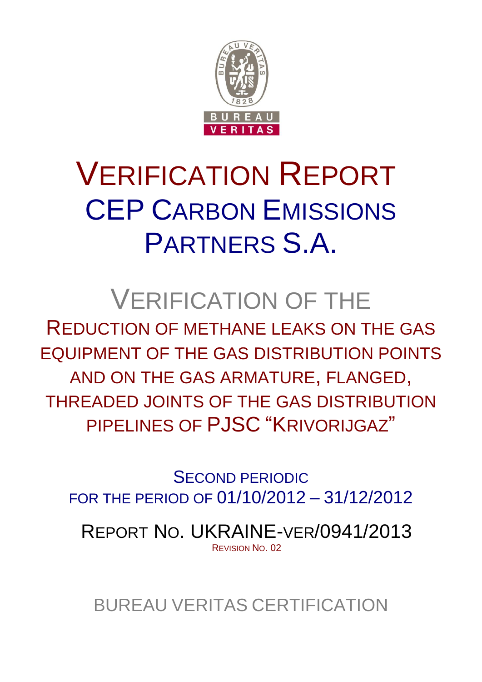

# VERIFICATION REPORT CEP CARBON EMISSIONS PARTNERS S.A.

## VERIFICATION OF THE

REDUCTION OF METHANE LEAKS ON THE GAS EQUIPMENT OF THE GAS DISTRIBUTION POINTS AND ON THE GAS ARMATURE, FLANGED, THREADED JOINTS OF THE GAS DISTRIBUTION PIPELINES OF PJSC "KRIVORIJGAZ"

SECOND PERIODIC FOR THE PERIOD OF 01/10/2012 – 31/12/2012

REPORT NO. UKRAINE-VER/0941/2013 REVISION NO. 02

BUREAU VERITAS CERTIFICATION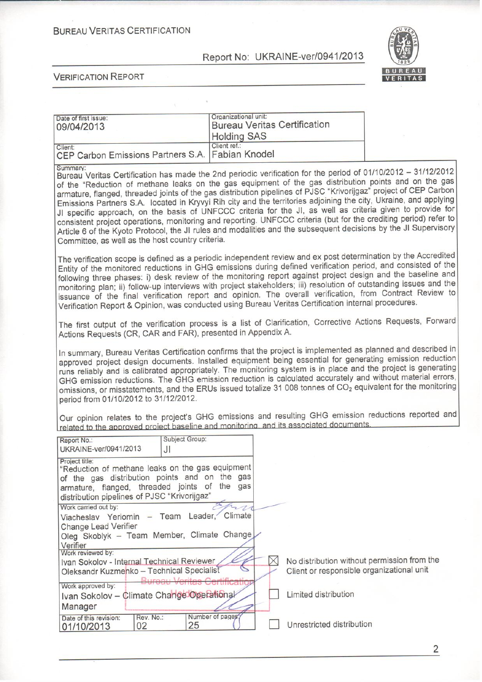**BUREAU VERITAS CERTIFICATION** 

Report No: UKRAINE-ver/0941/2013



**VERIFICATION REPORT** 

| Date of first issue:<br>09/04/2013                                                                                                                                                                                                                                                                                                                                                                                                                                                                            | Organizational unit:<br><b>Holding SAS</b> | <b>Bureau Veritas Certification</b>                                                                                                                                                                                                                                                                                                                                                                                                                                                                                                                                                                                                                                                                                                                                                                                 |  |
|---------------------------------------------------------------------------------------------------------------------------------------------------------------------------------------------------------------------------------------------------------------------------------------------------------------------------------------------------------------------------------------------------------------------------------------------------------------------------------------------------------------|--------------------------------------------|---------------------------------------------------------------------------------------------------------------------------------------------------------------------------------------------------------------------------------------------------------------------------------------------------------------------------------------------------------------------------------------------------------------------------------------------------------------------------------------------------------------------------------------------------------------------------------------------------------------------------------------------------------------------------------------------------------------------------------------------------------------------------------------------------------------------|--|
| Client:<br>CEP Carbon Emissions Partners S.A.                                                                                                                                                                                                                                                                                                                                                                                                                                                                 | Client ref.:<br><b>Fabian Knodel</b>       |                                                                                                                                                                                                                                                                                                                                                                                                                                                                                                                                                                                                                                                                                                                                                                                                                     |  |
| Summary:<br>Committee, as well as the host country criteria.                                                                                                                                                                                                                                                                                                                                                                                                                                                  |                                            | Bureau Veritas Certification has made the 2nd periodic verification for the period of 01/10/2012 - 31/12/2012<br>of the "Reduction of methane leaks on the gas equipment of the gas distribution points and on the gas<br>armature, flanged, threaded joints of the gas distribution pipelines of PJSC "Krivorijgaz" project of CEP Carbon<br>Emissions Partners S.A. located in Kryvyi Rih city and the territories adjoining the city, Ukraine, and applying<br>JI specific approach, on the basis of UNFCCC criteria for the JI, as well as criteria given to provide for<br>consistent project operations, monitoring and reporting. UNFCCC criteria (but for the crediting period) refer to<br>Article 6 of the Kyoto Protocol, the JI rules and modalities and the subsequent decisions by the JI Supervisory |  |
|                                                                                                                                                                                                                                                                                                                                                                                                                                                                                                               |                                            | The verification scope is defined as a periodic independent review and ex post determination by the Accredited<br>Entity of the monitored reductions in GHG emissions during defined verification period, and consisted of the<br>following three phases: i) desk review of the monitoring report against project design and the baseline and<br>monitoring plan; ii) follow-up interviews with project stakeholders; iii) resolution of outstanding issues and the<br>issuance of the final verification report and opinion. The overall verification, from Contract Review to<br>Verification Report & Opinion, was conducted using Bureau Veritas Certification internal procedures.                                                                                                                             |  |
| Actions Requests (CR, CAR and FAR), presented in Appendix A.                                                                                                                                                                                                                                                                                                                                                                                                                                                  |                                            | The first output of the verification process is a list of Clarification, Corrective Actions Requests, Forward                                                                                                                                                                                                                                                                                                                                                                                                                                                                                                                                                                                                                                                                                                       |  |
| period from 01/10/2012 to 31/12/2012.                                                                                                                                                                                                                                                                                                                                                                                                                                                                         |                                            | In summary, Bureau Veritas Certification confirms that the project is implemented as planned and described in<br>approved project design documents. Installed equipment being essential for generating emission reduction<br>runs reliably and is calibrated appropriately. The monitoring system is in place and the project is generating<br>GHG emission reductions. The GHG emission reduction is calculated accurately and without material errors,<br>omissions, or misstatements, and the ERUs issued totalize 31 008 tonnes of CO <sub>2</sub> equivalent for the monitoring<br>Our opinion relates to the project's GHG emissions and resulting GHG emission reductions reported and<br>related to the approved project baseline and monitoring, and its associated documents.                             |  |
| Report No.:<br>UKRAINE-ver/0941/2013                                                                                                                                                                                                                                                                                                                                                                                                                                                                          | Subject Group:<br>JI                       |                                                                                                                                                                                                                                                                                                                                                                                                                                                                                                                                                                                                                                                                                                                                                                                                                     |  |
| Project title:<br>"Reduction of methane leaks on the gas equipment<br>of the gas distribution points and on the gas<br>armature, flanged, threaded joints of the gas<br>distribution pipelines of PJSC "Krivorijgaz"<br>Work carried out by:<br>Viacheslav Yeriomin - Team Leader, Climate<br><b>Change Lead Verifier</b><br>Oleg Skoblyk - Team Member, Climate Change<br>Verifier<br>Work reviewed by:<br>Ivan Sokolov - Internal Technical Reviewer<br>Oleksandr Kuzmenko - Technical Specialist<br>Rurgou |                                            | No distribution without permission from the<br>Client or responsible organizational unit                                                                                                                                                                                                                                                                                                                                                                                                                                                                                                                                                                                                                                                                                                                            |  |
| Work approved by:<br>Ivan Sokolov - Climate Change Operational                                                                                                                                                                                                                                                                                                                                                                                                                                                | <del>ertificatio</del>                     | Limited distribution                                                                                                                                                                                                                                                                                                                                                                                                                                                                                                                                                                                                                                                                                                                                                                                                |  |
| Manager<br>Rev. No.:<br>Date of this revision:<br>02<br>01/10/2013                                                                                                                                                                                                                                                                                                                                                                                                                                            | Number of pages?<br>25                     | Unrestricted distribution                                                                                                                                                                                                                                                                                                                                                                                                                                                                                                                                                                                                                                                                                                                                                                                           |  |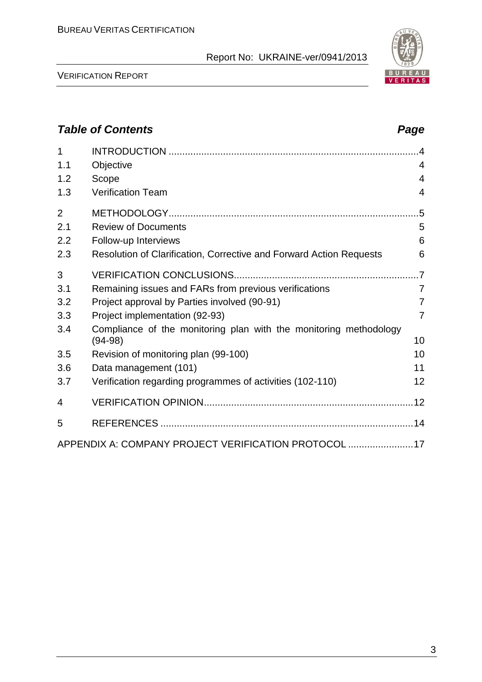

VERIFICATION REPORT

## *Table of Contents Page*

| 1              |                                                                     |                |
|----------------|---------------------------------------------------------------------|----------------|
| 1.1            | Objective                                                           | $\overline{4}$ |
| 1.2            | Scope                                                               | 4              |
| 1.3            | <b>Verification Team</b>                                            | 4              |
| $\overline{2}$ |                                                                     | $.5\,$         |
| 2.1            | <b>Review of Documents</b>                                          | 5              |
| 2.2            | Follow-up Interviews                                                | 6              |
| 2.3            | Resolution of Clarification, Corrective and Forward Action Requests | 6              |
| 3              |                                                                     |                |
| 3.1            | Remaining issues and FARs from previous verifications               | $\overline{7}$ |
| 3.2            | Project approval by Parties involved (90-91)                        | 7              |
| 3.3            | Project implementation (92-93)                                      | $\overline{7}$ |
| 3.4            | Compliance of the monitoring plan with the monitoring methodology   | 10             |
| 3.5            | $(94-98)$                                                           | 10             |
|                | Revision of monitoring plan (99-100)                                | 11             |
| 3.6            | Data management (101)                                               |                |
| 3.7            | Verification regarding programmes of activities (102-110)           | 12             |
| 4              |                                                                     |                |
| 5              |                                                                     |                |
|                | APPENDIX A: COMPANY PROJECT VERIFICATION PROTOCOL 17                |                |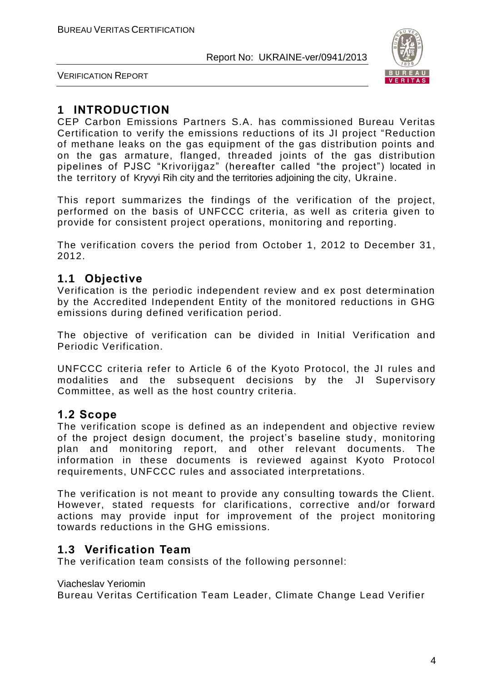

VERIFICATION REPORT

## **1 INTRODUCTION**

CEP Carbon Emissions Partners S.A. has commissioned Bureau Veritas Certification to verify the emissions reductions of its JI project "Reduction of methane leaks on the gas equipment of the gas distribution points and on the gas armature, flanged, threaded joints of the gas distribution pipelines of PJSC "Krivorijgaz" (hereafter called "the project") located in the territory of Kryvyi Rih city and the territories adjoining the city, Ukraine.

This report summarizes the findings of the verification of the project, performed on the basis of UNFCCC criteria, as well as criteria given to provide for consistent project operations, monitoring and reporting.

The verification covers the period from October 1, 2012 to December 31, 2012.

## **1.1 Objective**

Verification is the periodic independent review and ex post determination by the Accredited Independent Entity of the monitored reductions in GHG emissions during defined verification period.

The objective of verification can be divided in Initial Verification and Periodic Verification.

UNFCCC criteria refer to Article 6 of the Kyoto Protocol, the JI rules and modalities and the subsequent decisions by the JI Supervisory Committee, as well as the host country criteria.

## **1.2 Scope**

The verification scope is defined as an independent and objective review of the project design document, the project's baseline study, monitoring plan and monitoring report, and other relevant documents. The information in these documents is reviewed against Kyoto Protocol requirements, UNFCCC rules and associated interpretations.

The verification is not meant to provide any consulting towards the Client. However, stated requests for clarifications, corrective and/or forward actions may provide input for improvement of the project monitoring towards reductions in the GHG emissions.

## **1.3 Verification Team**

The verification team consists of the following personnel:

#### Viacheslav Yeriomin

Bureau Veritas Certification Team Leader, Climate Change Lead Verifier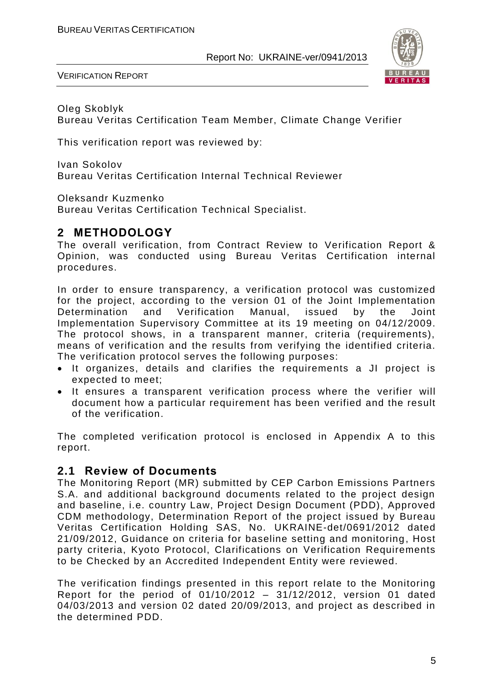

VERIFICATION REPORT

Oleg Skoblyk Bureau Veritas Certification Team Member, Climate Change Verifier

This verification report was reviewed by:

Ivan Sokolov Bureau Veritas Certification Internal Technical Reviewer

Oleksandr Kuzmenko

Bureau Veritas Certification Technical Specialist.

## **2 METHODOLOGY**

The overall verification, from Contract Review to Verification Report & Opinion, was conducted using Bureau Veritas Certification internal procedures.

In order to ensure transparency, a verification protocol was customized for the project, according to the version 01 of the Joint Implementation Determination and Verification Manual, issued by the Joint Implementation Supervisory Committee at its 19 meeting on 04/12/2009. The protocol shows, in a transparent manner, criteria (requirements), means of verification and the results from verifying the identified criteria. The verification protocol serves the following purposes:

- It organizes, details and clarifies the requirements a JI project is expected to meet;
- It ensures a transparent verification process where the verifier will document how a particular requirement has been verified and the result of the verification.

The completed verification protocol is enclosed in Appendix A to this report.

## **2.1 Review of Documents**

The Monitoring Report (MR) submitted by CEP Carbon Emissions Partners S.A. and additional background documents related to the project design and baseline, i.e. country Law, Project Design Document (PDD), Approved CDM methodology, Determination Report of the project issued by Bureau Veritas Certification Holding SAS, No. UKRAINE-det/0691/2012 dated 21/09/2012, Guidance on criteria for baseline setting and monitoring, Host party criteria, Kyoto Protocol, Clarifications on Verification Requirements to be Checked by an Accredited Independent Entity were reviewed.

The verification findings presented in this report relate to the Monitoring Report for the period of 01/10/2012 – 31/12/2012, version 01 dated 04/03/2013 and version 02 dated 20/09/2013, and project as described in the determined PDD.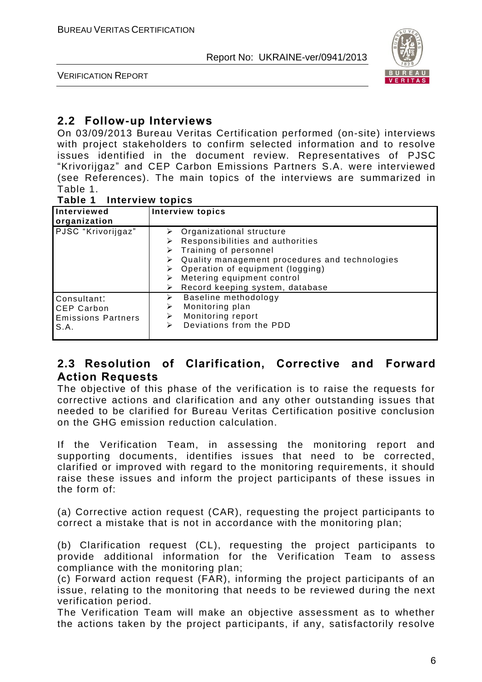

VERIFICATION REPORT

## **2.2 Follow-up Interviews**

On 03/09/2013 Bureau Veritas Certification performed (on-site) interviews with project stakeholders to confirm selected information and to resolve issues identified in the document review. Representatives of PJSC "Krivorijgaz" and CEP Carbon Emissions Partners S.A. were interviewed (see References). The main topics of the interviews are summarized in Table 1.

#### **Table 1 Interview topics**

| Interviewed<br>organization                                    | <b>Interview topics</b>                                                                                                                                                                                                                                                                  |
|----------------------------------------------------------------|------------------------------------------------------------------------------------------------------------------------------------------------------------------------------------------------------------------------------------------------------------------------------------------|
| PJSC "Krivorijgaz"                                             | $\triangleright$ Organizational structure<br>Responsibilities and authorities<br>➤<br>$\triangleright$ Training of personnel<br>Quality management procedures and technologies<br>Operation of equipment (logging)<br>Metering equipment control<br>Record keeping system, database<br>⋗ |
| Consultant:<br>CEP Carbon<br><b>Emissions Partners</b><br>S.A. | Baseline methodology<br>⋗<br>Monitoring plan<br>⋗<br>Monitoring report<br>⋗<br>Deviations from the PDD<br>⋗                                                                                                                                                                              |

## **2.3 Resolution of Clarification, Corrective and Forward Action Requests**

The objective of this phase of the verification is to raise the requests for corrective actions and clarification and any other outstanding issues that needed to be clarified for Bureau Veritas Certification positive conclusion on the GHG emission reduction calculation.

If the Verification Team, in assessing the monitoring report and supporting documents, identifies issues that need to be corrected, clarified or improved with regard to the monitoring requirements, it should raise these issues and inform the project participants of these issues in the form of:

(a) Corrective action request (CAR), requesting the project participants to correct a mistake that is not in accordance with the monitoring plan;

(b) Clarification request (CL), requesting the project participants to provide additional information for the Verification Team to assess compliance with the monitoring plan;

(c) Forward action request (FAR), informing the project participants of an issue, relating to the monitoring that needs to be reviewed during the next verification period.

The Verification Team will make an objective assessment as to whether the actions taken by the project participants, if any, satisfactorily resolve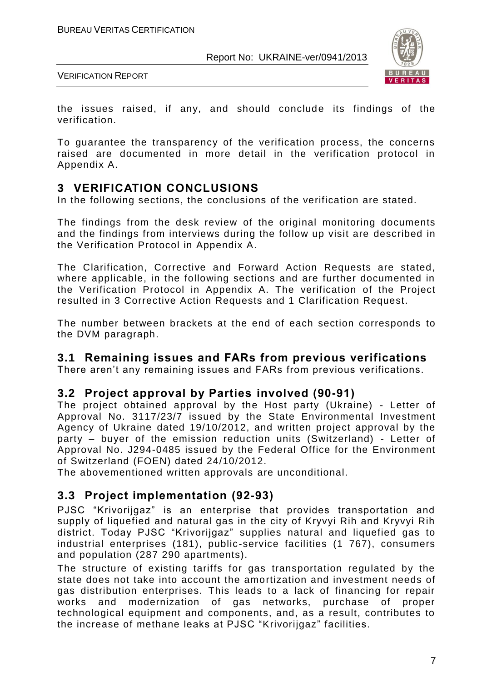

VERIFICATION REPORT

the issues raised, if any, and should conclude its findings of the verification.

To guarantee the transparency of the verification process, the concerns raised are documented in more detail in the verification protocol in Appendix A.

## **3 VERIFICATION CONCLUSIONS**

In the following sections, the conclusions of the verification are stated.

The findings from the desk review of the original monitoring documents and the findings from interviews during the follow up visit are described in the Verification Protocol in Appendix A.

The Clarification, Corrective and Forward Action Requests are stated, where applicable, in the following sections and are further documented in the Verification Protocol in Appendix A. The verification of the Project resulted in 3 Corrective Action Requests and 1 Clarification Request.

The number between brackets at the end of each section corresponds to the DVM paragraph.

## **3.1 Remaining issues and FARs from previous verifications**

There aren't any remaining issues and FARs from previous verifications.

## **3.2 Project approval by Parties involved (90-91)**

The project obtained approval by the Host party (Ukraine) - Letter of Approval No. 3117/23/7 issued by the State Environmental Investment Agency of Ukraine dated 19/10/2012, and written project approval by the party – buyer of the emission reduction units (Switzerland) - Letter of Approval No. J294-0485 issued by the Federal Office for the Environment of Switzerland (FOEN) dated 24/10/2012.

The abovementioned written approvals are unconditional.

## **3.3 Project implementation (92-93)**

PJSC "Krivorijgaz" is an enterprise that provides transportation and supply of liquefied and natural gas in the city of Kryvyi Rih and Kryvyi Rih district. Today PJSC "Krivorijgaz" supplies natural and liquefied gas to industrial enterprises (181), public -service facilities (1 767), consumers and population (287 290 apartments).

The structure of existing tariffs for gas transportation regulated by the state does not take into account the amortization and investment needs of gas distribution enterprises. This leads to a lack of financing for repair works and modernization of gas networks, purchase of proper technological equipment and components, and, as a result, contributes to the increase of methane leaks at PJSC "Krivorijgaz" facilities.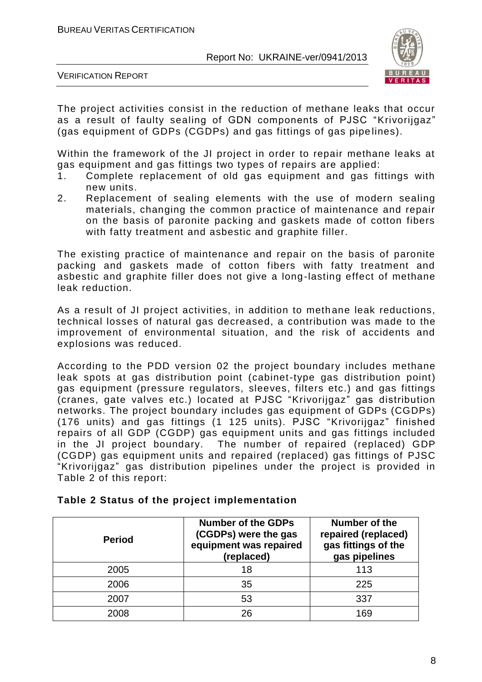

VERIFICATION REPORT

The project activities consist in the reduction of methane leaks that occur as a result of faulty sealing of GDN components of PJSC "Krivorijgaz" (gas equipment of GDPs (CGDPs) and gas fittings of gas pipe lines).

Within the framework of the JI project in order to repair methane leaks at gas equipment and gas fittings two types of repairs are applied:

- 1. Complete replacement of old gas equipment and gas fittings with new units.
- 2. Replacement of sealing elements with the use of modern sealing materials, changing the common practice of maintenance and repair on the basis of paronite packing and gaskets made of cotton fibers with fatty treatment and asbestic and graphite filler.

The existing practice of maintenance and repair on the basis of paronite packing and gaskets made of cotton fibers with fatty treatment and asbestic and graphite filler does not give a long-lasting effect of methane leak reduction.

As a result of JI project activities, in addition to methane leak reductions, technical losses of natural gas decreased, a contribution was made to the improvement of environmental situation, and the risk of accidents and explosions was reduced.

According to the PDD version 02 the project boundary includes methane leak spots at gas distribution point (cabinet-type gas distribution point) gas equipment (pressure regulators, sleeves, filters etc.) and gas fittings (cranes, gate valves etc.) located at PJSC "Krivorijgaz" gas distribution networks. The project boundary includes gas equipment of GDPs (CGDPs) (176 units) and gas fittings (1 125 units). PJSC "Krivorijgaz" finished repairs of all GDP (CGDP) gas equipment units and gas fittings included in the JI project boundary. The number of repaired (replaced) GDP (CGDP) gas equipment units and repaired (replaced) gas fittings of PJSC "Krivorijgaz" gas distribution pipelines under the project is provided in Table 2 of this report:

| <b>Period</b> | <b>Number of the GDPs</b><br>(CGDPs) were the gas<br>equipment was repaired<br>(replaced) | Number of the<br>repaired (replaced)<br>gas fittings of the<br>gas pipelines |
|---------------|-------------------------------------------------------------------------------------------|------------------------------------------------------------------------------|
| 2005          | 18                                                                                        | 113                                                                          |
| 2006          | 35                                                                                        | 225                                                                          |
| 2007          | 53                                                                                        | 337                                                                          |
| 2008          | 26                                                                                        | 169                                                                          |

|  |  |  |  | Table 2 Status of the project implementation |
|--|--|--|--|----------------------------------------------|
|--|--|--|--|----------------------------------------------|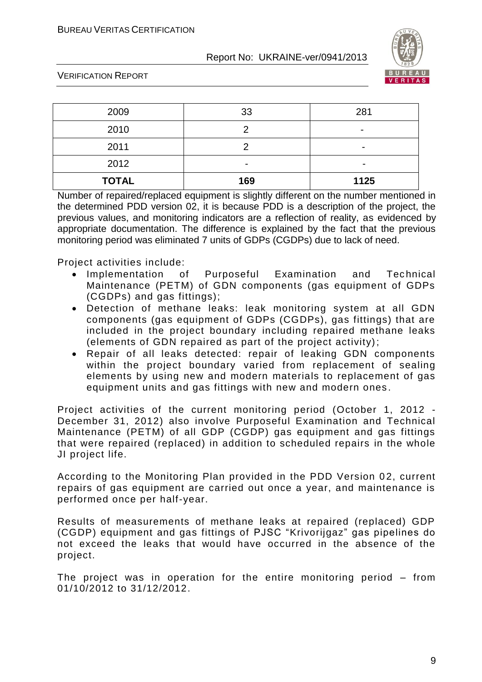

VERIFICATION REPORT

| 2009         | 33  | 281                      |
|--------------|-----|--------------------------|
| 2010         |     | $\overline{\phantom{0}}$ |
| 2011         |     | $\overline{\phantom{0}}$ |
| 2012         | ۰   | $\overline{\phantom{0}}$ |
| <b>TOTAL</b> | 169 | 1125                     |

Number of repaired/replaced equipment is slightly different on the number mentioned in the determined PDD version 02, it is because PDD is a description of the project, the previous values, and monitoring indicators are a reflection of reality, as evidenced by appropriate documentation. The difference is explained by the fact that the previous monitoring period was eliminated 7 units of GDPs (CGDPs) due to lack of need.

Project activities include:

- Implementation of Purposeful Examination and Technical Maintenance (PETM) of GDN components (gas equipment of GDPs (CGDPs) and gas fittings);
- Detection of methane leaks: leak monitoring system at all GDN components (gas equipment of GDPs (CGDPs), gas fittings) that are included in the project boundary including repaired methane leaks (elements of GDN repaired as part of the project activity);
- Repair of all leaks detected: repair of leaking GDN components within the project boundary varied from replacement of sealing elements by using new and modern materials to replacement of gas equipment units and gas fittings with new and modern ones .

Project activities of the current monitoring period (October 1, 2012 - December 31, 2012) also involve Purposeful Examination and Technical Maintenance (PETM) of all GDP (CGDP) gas equipment and gas fittings that were repaired (replaced) in addition to scheduled repairs in the whole JI project life.

According to the Monitoring Plan provided in the PDD Version 02, current repairs of gas equipment are carried out once a year, and maintenance is performed once per half-year.

Results of measurements of methane leaks at repaired (replaced) GDP (CGDP) equipment and gas fittings of PJSC "Krivorijgaz" gas pipelines do not exceed the leaks that would have occurred in the absence of the project.

The project was in operation for the entire monitoring period – from 01/10/2012 to 31/12/2012.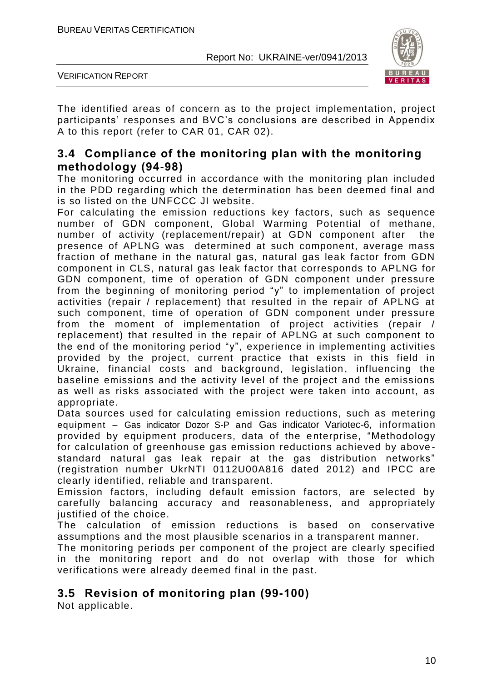

VERIFICATION REPORT

The identified areas of concern as to the project implementation, project participants' responses and BVC's conclusions are described in Appendix A to this report (refer to CAR 01, CAR 02).

## **3.4 Compliance of the monitoring plan with the monitoring methodology (94-98)**

The monitoring occurred in accordance with the monitoring plan included in the PDD regarding which the determination has been deemed final and is so listed on the UNFCCC JI website.

For calculating the emission reductions key factors, such as sequence number of GDN component, Global Warming Potential of methane, number of activity (replacement/repair) at GDN component after the presence of APLNG was determined at such component, average mass fraction of methane in the natural gas, natural gas leak factor from GDN component in CLS, natural gas leak factor that corresponds to APLNG for GDN component, time of operation of GDN component under pressure from the beginning of monitoring period "y" to implementation of project activities (repair / replacement) that resulted in the repair of APLNG at such component, time of operation of GDN component under pressure from the moment of implementation of project activities (repair / replacement) that resulted in the repair of APLNG at such component to the end of the monitoring period "y", experience in implementing activities provided by the project, current practice that exists in this field in Ukraine, financial costs and background, legislation, influencing the baseline emissions and the activity level of the project and the emissions as well as risks associated with the project were taken into account, as appropriate.

Data sources used for calculating emission reductions, such as metering equipment – Gas indicator Dozor S-P and Gas indicator Variotec-6, information provided by equipment producers, data of the enterprise, "Methodology for calculation of greenhouse gas emission reductions achieved by above standard natural gas leak repair at the gas distribution networks" (registration number UkrNTI 0112U00A816 dated 2012) and IPCC are clearly identified, reliable and transparent.

Emission factors, including default emission factors, are selected by carefully balancing accuracy and reasonableness, and appropriately justified of the choice.

The calculation of emission reductions is based on conservative assumptions and the most plausible scenarios in a transparent manner.

The monitoring periods per component of the project are clearly specified in the monitoring report and do not overlap with those for which verifications were already deemed final in the past.

## **3.5 Revision of monitoring plan (99-100)**

Not applicable.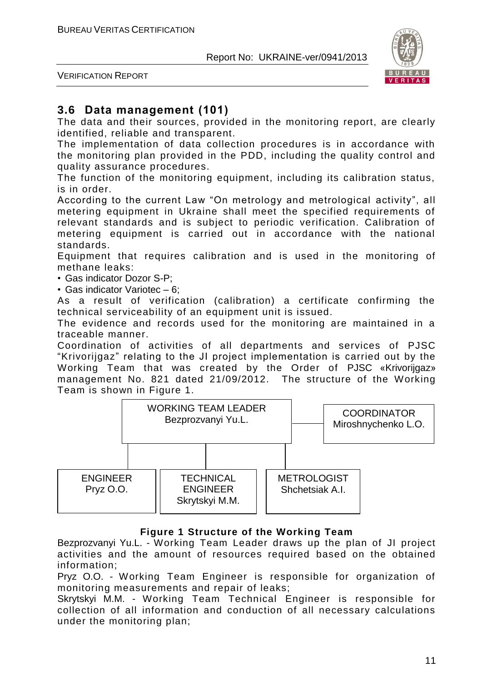

VERIFICATION REPORT

## **3.6 Data management (101)**

The data and their sources, provided in the monitoring report, are clearly identified, reliable and transparent.

The implementation of data collection procedures is in accordance with the monitoring plan provided in the PDD, including the quality control and quality assurance procedures.

The function of the monitoring equipment, including its calibration status, is in order.

According to the current Law "On metrology and metrological activity", all metering equipment in Ukraine shall meet the specified requirements of relevant standards and is subject to periodic verification. Calibration of metering equipment is carried out in accordance with the national standards.

Equipment that requires calibration and is used in the monitoring of methane leaks:

• Gas indicator Dozor S-P;

• Gas indicator Variotec – 6;

As a result of verification (calibration) a certificate confirming the technical serviceability of an equipment unit is issued.

The evidence and records used for the monitoring are maintained in a traceable manner.

Coordination of activities of all departments and services of PJSC "Krivorijgaz" relating to the JI project implementation is carried out by the Working Team that was created by the Order of PJSC «Krivorijgaz» management No. 821 dated 21/09/2012. The structure of the Working Team is shown in Figure 1.



## **Figure 1 Structure of the Working Team**

Bezprozvanyi Yu.L. - Working Team Leader draws up the plan of JI project activities and the amount of resources required based on the obtained information;

Pryz O.O. - Working Team Engineer is responsible for organization of monitoring measurements and repair of leaks;

Skrytskyi M.M. - Working Team Technical Engineer is responsible for collection of all information and conduction of all necessary calculations under the monitoring plan;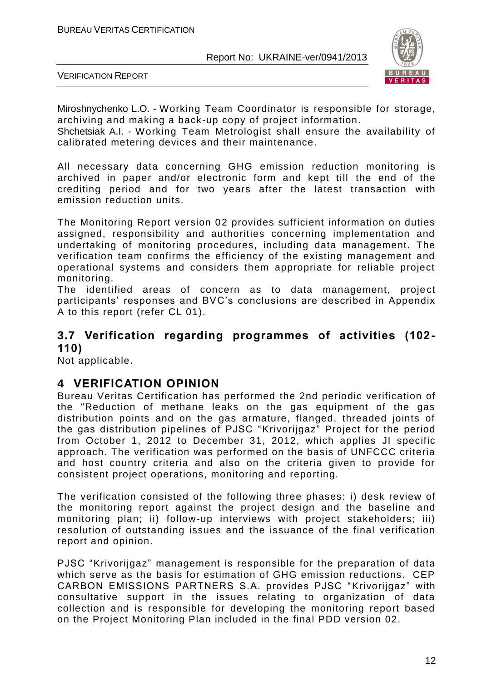

VERIFICATION REPORT

Miroshnychenko L.O. - Working Team Coordinator is responsible for storage, archiving and making a back-up copy of project information.

Shchetsiak A.I. - Working Team Metrologist shall ensure the availability of calibrated metering devices and their maintenance.

All necessary data concerning GHG emission reduction monitoring is archived in paper and/or electronic form and kept till the end of the crediting period and for two years after the latest transaction with emission reduction units.

The Monitoring Report version 02 provides sufficient information on duties assigned, responsibility and authorities concerning implementation and undertaking of monitoring procedures, including data management. The verification team confirms the efficiency of the existing management and operational systems and considers them appropriate for reliable project monitoring.

The identified areas of concern as to data management, project participants' responses and BVC's conclusions are described in Appendix A to this report (refer CL 01).

## **3.7 Verification regarding programmes of activities (102- 110)**

Not applicable.

## **4 VERIFICATION OPINION**

Bureau Veritas Certification has performed the 2nd periodic verification of the "Reduction of methane leaks on the gas equipment of the gas distribution points and on the gas armature, flanged, threaded joints of the gas distribution pipelines of PJSC "Krivorijgaz" Project for the period from October 1, 2012 to December 31, 2012, which applies JI specific approach. The verification was performed on the basis of UNFCCC criteria and host country criteria and also on the criteria given to provide for consistent project operations, monitoring and reporting.

The verification consisted of the following three phases: i) desk review of the monitoring report against the project design and the baseline and monitoring plan; ii) follow-up interviews with project stakeholders; iii) resolution of outstanding issues and the issuance of the final verification report and opinion.

PJSC "Krivorijgaz" management is responsible for the preparation of data which serve as the basis for estimation of GHG emission reductions. CEP CARBON EMISSIONS PARTNERS S.A. provides PJSC "Krivorijgaz" with consultative support in the issues relating to organization of data collection and is responsible for developing the monitoring report based on the Project Monitoring Plan included in the final PDD version 02.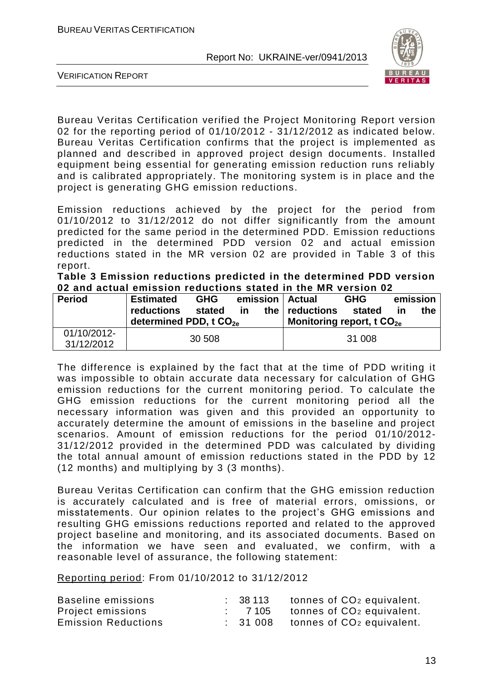

VERIFICATION REPORT

Bureau Veritas Certification verified the Project Monitoring Report version 02 for the reporting period of 01/10/2012 - 31/12/2012 as indicated below. Bureau Veritas Certification confirms that the project is implemented as planned and described in approved project design documents. Installed equipment being essential for generating emission reduction runs reliably and is calibrated appropriately. The monitoring system is in place and the project is generating GHG emission reductions.

Emission reductions achieved by the project for the period from 01/10/2012 to 31/12/2012 do not differ significantly from the amount predicted for the same period in the determined PDD. Emission reductions predicted in the determined PDD version 02 and actual emission reductions stated in the MR version 02 are provided in Table 3 of this report.

**Table 3 Emission reductions predicted in the determined PDD version 02 and actual emission reductions stated in the MR version 02**

| <b>Period</b>             | <b>Estimated</b><br><b>reductions</b><br>determined PDD, t CO <sub>2e</sub> | <b>GHG</b><br>stated | <b>in</b> | emission   Actual<br>the $ $ reductions<br>Monitoring report, t $CO2e$ | <b>GHG</b><br>stated | in | emission<br>the |
|---------------------------|-----------------------------------------------------------------------------|----------------------|-----------|------------------------------------------------------------------------|----------------------|----|-----------------|
| 01/10/2012-<br>31/12/2012 |                                                                             | 30 508               |           |                                                                        | 31 008               |    |                 |

The difference is explained by the fact that at the time of PDD writing it was impossible to obtain accurate data necessary for calculation of GHG emission reductions for the current monitoring period. To calculate the GHG emission reductions for the current monitoring period all the necessary information was given and this provided an opportunity to accurately determine the amount of emissions in the baseline and project scenarios. Amount of emission reductions for the period 01/10/2012- 31/12/2012 provided in the determined PDD was calculated by dividing the total annual amount of emission reductions stated in the PDD by 12 (12 months) and multiplying by 3 (3 months).

Bureau Veritas Certification can confirm that the GHG emission reduction is accurately calculated and is free of material errors, omissions, or misstatements. Our opinion relates to the project's GHG emissions and resulting GHG emissions reductions reported and related to the approved project baseline and monitoring, and its associated documents. Based on the information we have seen and evaluated, we confirm, with a reasonable level of assurance, the following statement:

Reporting period: From 01/10/2012 to 31/12/2012

| Baseline emissions         | : 38113            | tonnes of CO <sub>2</sub> equivalent. |
|----------------------------|--------------------|---------------------------------------|
| Project emissions          | $\therefore$ 7 105 | tonnes of CO <sub>2</sub> equivalent. |
| <b>Emission Reductions</b> | : 31008            | tonnes of CO <sub>2</sub> equivalent. |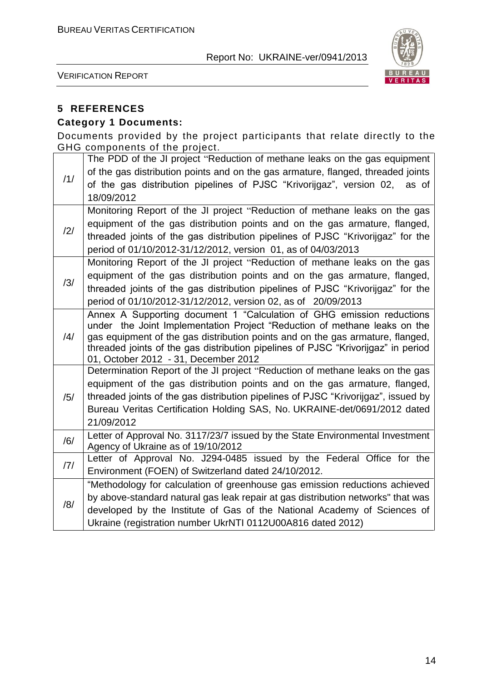

VERIFICATION REPORT

## **5 REFERENCES**

#### **Category 1 Documents:**

Documents provided by the project participants that relate directly to the GHG components of the project.

|                | The PDD of the JI project "Reduction of methane leaks on the gas equipment                                                                                          |
|----------------|---------------------------------------------------------------------------------------------------------------------------------------------------------------------|
|                | of the gas distribution points and on the gas armature, flanged, threaded joints                                                                                    |
| /1/            | of the gas distribution pipelines of PJSC "Krivorijgaz", version 02, as of                                                                                          |
|                | 18/09/2012                                                                                                                                                          |
|                | Monitoring Report of the JI project "Reduction of methane leaks on the gas                                                                                          |
| /2/            | equipment of the gas distribution points and on the gas armature, flanged,                                                                                          |
|                | threaded joints of the gas distribution pipelines of PJSC "Krivorijgaz" for the                                                                                     |
|                | period of 01/10/2012-31/12/2012, version 01, as of 04/03/2013                                                                                                       |
|                | Monitoring Report of the JI project "Reduction of methane leaks on the gas                                                                                          |
| /3/            | equipment of the gas distribution points and on the gas armature, flanged,                                                                                          |
|                | threaded joints of the gas distribution pipelines of PJSC "Krivorijgaz" for the                                                                                     |
|                | period of 01/10/2012-31/12/2012, version 02, as of 20/09/2013                                                                                                       |
|                | Annex A Supporting document 1 "Calculation of GHG emission reductions                                                                                               |
|                | under the Joint Implementation Project "Reduction of methane leaks on the                                                                                           |
| $\frac{14}{1}$ | gas equipment of the gas distribution points and on the gas armature, flanged,<br>threaded joints of the gas distribution pipelines of PJSC "Krivorijgaz" in period |
|                | 01, October 2012 - 31, December 2012                                                                                                                                |
|                | Determination Report of the JI project "Reduction of methane leaks on the gas                                                                                       |
|                | equipment of the gas distribution points and on the gas armature, flanged,                                                                                          |
| /5/            | threaded joints of the gas distribution pipelines of PJSC "Krivorijgaz", issued by                                                                                  |
|                | Bureau Veritas Certification Holding SAS, No. UKRAINE-det/0691/2012 dated                                                                                           |
|                | 21/09/2012                                                                                                                                                          |
| /6/            | Letter of Approval No. 3117/23/7 issued by the State Environmental Investment                                                                                       |
|                | Agency of Ukraine as of 19/10/2012                                                                                                                                  |
| 7              | Letter of Approval No. J294-0485 issued by the Federal Office for the                                                                                               |
|                | Environment (FOEN) of Switzerland dated 24/10/2012.                                                                                                                 |
|                | "Methodology for calculation of greenhouse gas emission reductions achieved                                                                                         |
| /8/            | by above-standard natural gas leak repair at gas distribution networks" that was                                                                                    |
|                | developed by the Institute of Gas of the National Academy of Sciences of                                                                                            |
|                | Ukraine (registration number UkrNTI 0112U00A816 dated 2012)                                                                                                         |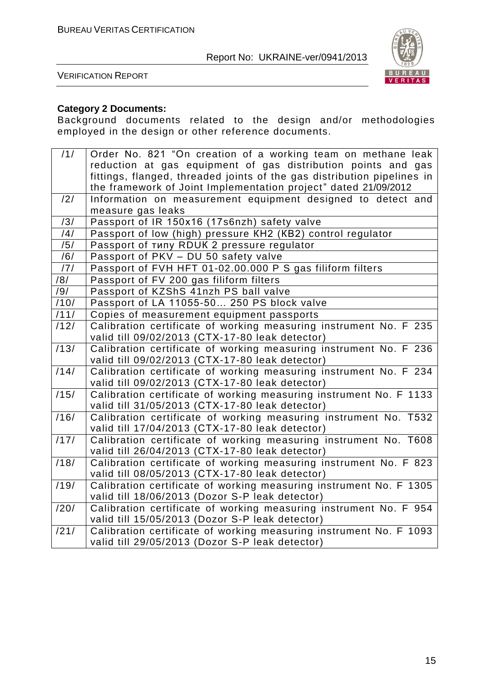

VERIFICATION REPORT

#### **Category 2 Documents:**

Background documents related to the design and/or methodologies employed in the design or other reference documents.

| /1/             | Order No. 821 "On creation of a working team on methane leak            |
|-----------------|-------------------------------------------------------------------------|
|                 | reduction at gas equipment of gas distribution points and gas           |
|                 | fittings, flanged, threaded joints of the gas distribution pipelines in |
|                 | the framework of Joint Implementation project" dated 21/09/2012         |
| $\overline{2/}$ | Information on measurement equipment designed to detect and             |
|                 | measure gas leaks                                                       |
| /3/             | Passport of IR 150x16 (17s6nzh) safety valve                            |
| /4/             | Passport of low (high) pressure KH2 (KB2) control regulator             |
| /5/             | Passport of TUITY RDUK 2 pressure regulator                             |
| /6/             | Passport of PKV - DU 50 safety valve                                    |
| /7/             | Passport of FVH HFT 01-02.00.000 P S gas filiform filters               |
| /8/             | Passport of FV 200 gas filiform filters                                 |
| /9/             | Passport of KZShS 41nzh PS ball valve                                   |
| /10/            | Passport of LA 11055-50 250 PS block valve                              |
| /11/            | Copies of measurement equipment passports                               |
| /12/            | Calibration certificate of working measuring instrument No. F 235       |
|                 | valid till 09/02/2013 (CTX-17-80 leak detector)                         |
| /13/            | Calibration certificate of working measuring instrument No. F 236       |
|                 | valid till 09/02/2013 (CTX-17-80 leak detector)                         |
| /14/            | Calibration certificate of working measuring instrument No. F 234       |
|                 | valid till 09/02/2013 (CTX-17-80 leak detector)                         |
| /15/            | Calibration certificate of working measuring instrument No. F 1133      |
|                 | valid till 31/05/2013 (CTX-17-80 leak detector)                         |
| /16/            | Calibration certificate of working measuring instrument No. T532        |
|                 | valid till 17/04/2013 (CTX-17-80 leak detector)                         |
| /17/            | Calibration certificate of working measuring instrument No. T608        |
|                 | valid till 26/04/2013 (CTX-17-80 leak detector)                         |
| /18/            | Calibration certificate of working measuring instrument No. F 823       |
|                 | valid till 08/05/2013 (CTX-17-80 leak detector)                         |
| /19/            | Calibration certificate of working measuring instrument No. F 1305      |
|                 | valid till 18/06/2013 (Dozor S-P leak detector)                         |
| /20/            | Calibration certificate of working measuring instrument No. F 954       |
|                 | valid till 15/05/2013 (Dozor S-P leak detector)                         |
| /21/            | Calibration certificate of working measuring instrument No. F 1093      |
|                 | valid till 29/05/2013 (Dozor S-P leak detector)                         |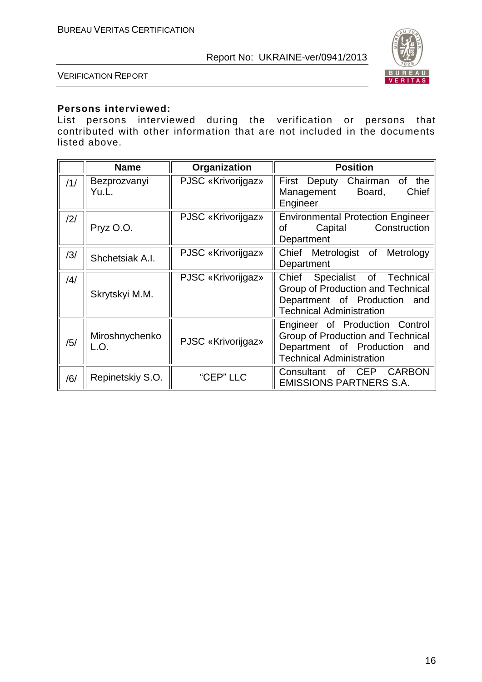

#### VERIFICATION REPORT

#### **Persons interviewed:**

List persons interviewed during the verification or persons that contributed with other information that are not included in the documents listed above.

|     | <b>Name</b>            | Organization       | <b>Position</b>                                                                                                                             |  |  |
|-----|------------------------|--------------------|---------------------------------------------------------------------------------------------------------------------------------------------|--|--|
| /1/ | Bezprozvanyi<br>Yu.L.  | PJSC «Krivorijgaz» | First<br>the<br>Deputy<br>Chairman<br>of<br>Chief<br>Management<br>Board,<br>Engineer                                                       |  |  |
| /2/ | Pryz O.O.              | PJSC «Krivorijgaz» | <b>Environmental Protection Engineer</b><br>Construction<br>of<br>Capital<br>Department                                                     |  |  |
| /3/ | Shchetsiak A.I.        | PJSC «Krivorijgaz» | Chief Metrologist of Metrology<br>Department                                                                                                |  |  |
| /4/ | Skrytskyi M.M.         | PJSC «Krivorijgaz» | Chief<br>Specialist of Technical<br>Group of Production and Technical<br>Department of Production<br>and<br><b>Technical Administration</b> |  |  |
| /5/ | Miroshnychenko<br>L.O. | PJSC «Krivorijgaz» | Engineer of Production Control<br>Group of Production and Technical<br>Department of Production<br>and<br><b>Technical Administration</b>   |  |  |
| /6/ | Repinetskiy S.O.       | "CEP" LLC          | <b>CARBON</b><br>Consultant of<br><b>CEP</b><br><b>EMISSIONS PARTNERS S.A.</b>                                                              |  |  |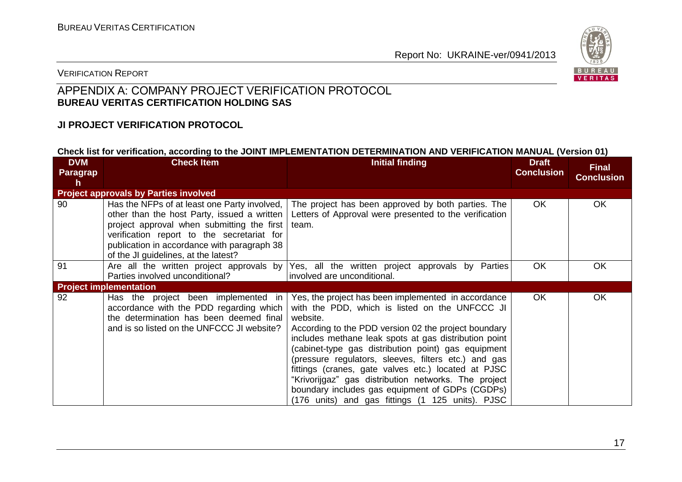

#### VERIFICATION REPORT

## APPENDIX A: COMPANY PROJECT VERIFICATION PROTOCOL **BUREAU VERITAS CERTIFICATION HOLDING SAS**

#### **JI PROJECT VERIFICATION PROTOCOL**

#### **Check list for verification, according to the JOINT IMPLEMENTATION DETERMINATION AND VERIFICATION MANUAL (Version 01)**

| <b>DVM</b><br>Paragrap | <b>Check Item</b>                            | <b>Initial finding</b>                                 | <b>Draft</b><br><b>Conclusion</b> | <b>Final</b><br><b>Conclusion</b> |
|------------------------|----------------------------------------------|--------------------------------------------------------|-----------------------------------|-----------------------------------|
| h                      |                                              |                                                        |                                   |                                   |
|                        | <b>Project approvals by Parties involved</b> |                                                        |                                   |                                   |
| 90                     | Has the NFPs of at least one Party involved, | The project has been approved by both parties. The     | <b>OK</b>                         | OK                                |
|                        | other than the host Party, issued a written  | Letters of Approval were presented to the verification |                                   |                                   |
|                        | project approval when submitting the first   | team.                                                  |                                   |                                   |
|                        | verification report to the secretariat for   |                                                        |                                   |                                   |
|                        | publication in accordance with paragraph 38  |                                                        |                                   |                                   |
|                        | of the JI guidelines, at the latest?         |                                                        |                                   |                                   |
| 91                     | Are all the written project approvals by     | Yes, all the written project approvals by Parties      | <b>OK</b>                         | OK                                |
|                        | Parties involved unconditional?              | involved are unconditional.                            |                                   |                                   |
|                        | <b>Project implementation</b>                |                                                        |                                   |                                   |
| 92                     | Has the project been implemented in          | Yes, the project has been implemented in accordance    | OK.                               | OK                                |
|                        | accordance with the PDD regarding which      | with the PDD, which is listed on the UNFCCC JI         |                                   |                                   |
|                        | the determination has been deemed final      | website.                                               |                                   |                                   |
|                        | and is so listed on the UNFCCC JI website?   | According to the PDD version 02 the project boundary   |                                   |                                   |
|                        |                                              | includes methane leak spots at gas distribution point  |                                   |                                   |
|                        |                                              | (cabinet-type gas distribution point) gas equipment    |                                   |                                   |
|                        |                                              | (pressure regulators, sleeves, filters etc.) and gas   |                                   |                                   |
|                        |                                              | fittings (cranes, gate valves etc.) located at PJSC    |                                   |                                   |
|                        |                                              | "Krivorijgaz" gas distribution networks. The project   |                                   |                                   |
|                        |                                              | boundary includes gas equipment of GDPs (CGDPs)        |                                   |                                   |
|                        |                                              | (176 units) and gas fittings (1 125 units). PJSC       |                                   |                                   |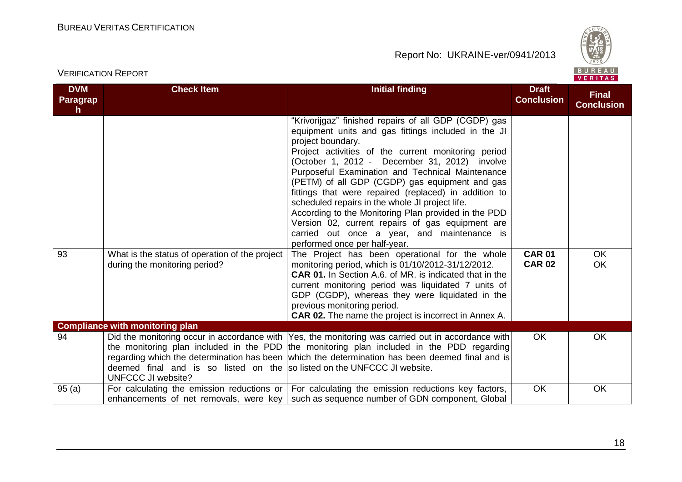

## VERIFICATION REPORT

| <b>DVM</b><br><b>Paragrap</b><br>$\mathsf{h}$ | <b>Check Item</b>                                                                                    | <b>Initial finding</b>                                                                                                                                                                                                                                                                                                                                                                                                                                                                                                                                                                                                                                 | <b>Draft</b><br><b>Conclusion</b> | <b>Final</b><br><b>Conclusion</b> |
|-----------------------------------------------|------------------------------------------------------------------------------------------------------|--------------------------------------------------------------------------------------------------------------------------------------------------------------------------------------------------------------------------------------------------------------------------------------------------------------------------------------------------------------------------------------------------------------------------------------------------------------------------------------------------------------------------------------------------------------------------------------------------------------------------------------------------------|-----------------------------------|-----------------------------------|
|                                               |                                                                                                      | "Krivorijgaz" finished repairs of all GDP (CGDP) gas<br>equipment units and gas fittings included in the JI<br>project boundary.<br>Project activities of the current monitoring period<br>(October 1, 2012 - December 31, 2012) involve<br>Purposeful Examination and Technical Maintenance<br>(PETM) of all GDP (CGDP) gas equipment and gas<br>fittings that were repaired (replaced) in addition to<br>scheduled repairs in the whole JI project life.<br>According to the Monitoring Plan provided in the PDD<br>Version 02, current repairs of gas equipment are<br>carried out once a year, and maintenance is<br>performed once per half-year. |                                   |                                   |
| 93                                            | What is the status of operation of the project<br>during the monitoring period?                      | The Project has been operational for the whole<br>monitoring period, which is 01/10/2012-31/12/2012.<br><b>CAR 01.</b> In Section A.6. of MR. is indicated that in the<br>current monitoring period was liquidated 7 units of<br>GDP (CGDP), whereas they were liquidated in the<br>previous monitoring period.<br><b>CAR 02.</b> The name the project is incorrect in Annex A.                                                                                                                                                                                                                                                                        | <b>CAR 01</b><br><b>CAR 02</b>    | OK.<br><b>OK</b>                  |
|                                               | <b>Compliance with monitoring plan</b>                                                               |                                                                                                                                                                                                                                                                                                                                                                                                                                                                                                                                                                                                                                                        |                                   |                                   |
| 94                                            | deemed final and is so listed on the solisted on the UNFCCC JI website.<br><b>UNFCCC JI website?</b> | Did the monitoring occur in accordance with  Yes, the monitoring was carried out in accordance with <br>the monitoring plan included in the PDD the monitoring plan included in the PDD regarding<br>regarding which the determination has been which the determination has been deemed final and is                                                                                                                                                                                                                                                                                                                                                   | <b>OK</b>                         | OK                                |
| 95(a)                                         |                                                                                                      | For calculating the emission reductions or $\vert$ For calculating the emission reductions key factors,<br>enhancements of net removals, were key such as sequence number of GDN component, Global                                                                                                                                                                                                                                                                                                                                                                                                                                                     | OK.                               | <b>OK</b>                         |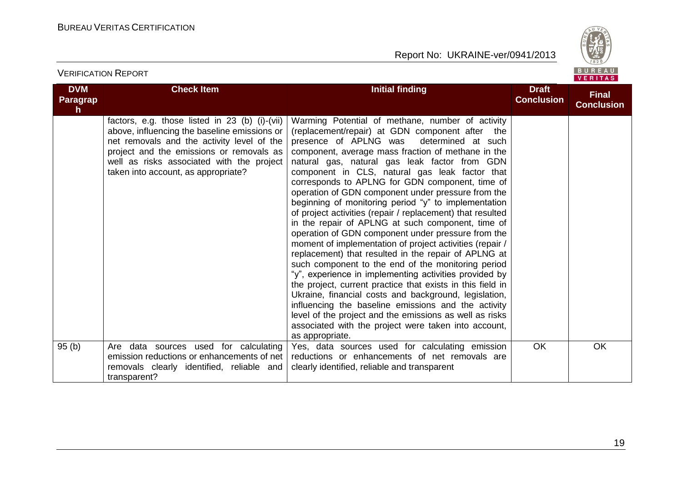

| <b>DVM</b><br><b>Paragrap</b><br>h. | <b>Check Item</b>                                                                                                                                                                                                                                                            | <b>Initial finding</b>                                                                                                                                                                                                                                                                                                                                                                                                                                                                                                                                                                                                                                                                                                                                                                                                                                                                                                                                                                                                                                                                                                                                                                                        | <b>Draft</b><br><b>Conclusion</b> | <b>Final</b><br><b>Conclusion</b> |
|-------------------------------------|------------------------------------------------------------------------------------------------------------------------------------------------------------------------------------------------------------------------------------------------------------------------------|---------------------------------------------------------------------------------------------------------------------------------------------------------------------------------------------------------------------------------------------------------------------------------------------------------------------------------------------------------------------------------------------------------------------------------------------------------------------------------------------------------------------------------------------------------------------------------------------------------------------------------------------------------------------------------------------------------------------------------------------------------------------------------------------------------------------------------------------------------------------------------------------------------------------------------------------------------------------------------------------------------------------------------------------------------------------------------------------------------------------------------------------------------------------------------------------------------------|-----------------------------------|-----------------------------------|
|                                     | factors, e.g. those listed in 23 (b) (i)-(vii)<br>above, influencing the baseline emissions or<br>net removals and the activity level of the<br>project and the emissions or removals as<br>well as risks associated with the project<br>taken into account, as appropriate? | Warming Potential of methane, number of activity<br>(replacement/repair) at GDN component after the<br>presence of APLNG was<br>determined at such<br>component, average mass fraction of methane in the<br>natural gas, natural gas leak factor from GDN<br>component in CLS, natural gas leak factor that<br>corresponds to APLNG for GDN component, time of<br>operation of GDN component under pressure from the<br>beginning of monitoring period "y" to implementation<br>of project activities (repair / replacement) that resulted<br>in the repair of APLNG at such component, time of<br>operation of GDN component under pressure from the<br>moment of implementation of project activities (repair /<br>replacement) that resulted in the repair of APLNG at<br>such component to the end of the monitoring period<br>"y", experience in implementing activities provided by<br>the project, current practice that exists in this field in<br>Ukraine, financial costs and background, legislation,<br>influencing the baseline emissions and the activity<br>level of the project and the emissions as well as risks<br>associated with the project were taken into account,<br>as appropriate. |                                   |                                   |
| 95(b)                               | Are data sources used for calculating<br>emission reductions or enhancements of net<br>removals clearly identified, reliable and<br>transparent?                                                                                                                             | Yes, data sources used for calculating emission<br>reductions or enhancements of net removals are<br>clearly identified, reliable and transparent                                                                                                                                                                                                                                                                                                                                                                                                                                                                                                                                                                                                                                                                                                                                                                                                                                                                                                                                                                                                                                                             | <b>OK</b>                         | <b>OK</b>                         |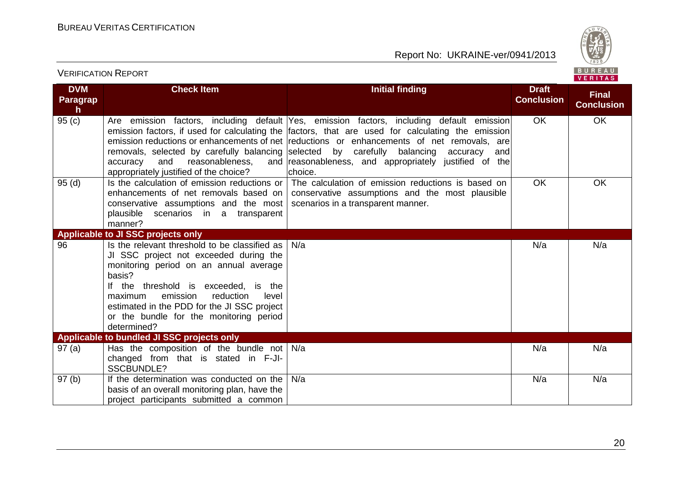

VERIFICATION REPORT

| <b>DVM</b><br><b>Paragrap</b><br>h | <b>Check Item</b>                                                                                                                                                                                                                                                                                                                         | <b>Initial finding</b>                                                                                                                                                                                                                                                                                                                                                                                                                                          | <b>Draft</b><br><b>Conclusion</b> | <b>Final</b><br><b>Conclusion</b> |
|------------------------------------|-------------------------------------------------------------------------------------------------------------------------------------------------------------------------------------------------------------------------------------------------------------------------------------------------------------------------------------------|-----------------------------------------------------------------------------------------------------------------------------------------------------------------------------------------------------------------------------------------------------------------------------------------------------------------------------------------------------------------------------------------------------------------------------------------------------------------|-----------------------------------|-----------------------------------|
| 95(c)                              | and<br>reasonableness,<br>accuracy<br>appropriately justified of the choice?                                                                                                                                                                                                                                                              | Are emission factors, including default Yes, emission factors, including default emission<br>emission factors, if used for calculating the factors, that are used for calculating the emission<br>emission reductions or enhancements of net reductions or enhancements of net removals, are<br>removals, selected by carefully balancing selected by carefully balancing accuracy<br>andl<br>and reasonableness, and appropriately justified of the<br>choice. | <b>OK</b>                         | OK                                |
| 95(d)                              | conservative assumptions and the most   scenarios in a transparent manner.<br>plausible scenarios in a transparent<br>manner?                                                                                                                                                                                                             | Is the calculation of emission reductions or   The calculation of emission reductions is based on<br>enhancements of net removals based on   conservative assumptions and the most plausible                                                                                                                                                                                                                                                                    | <b>OK</b>                         | <b>OK</b>                         |
|                                    | Applicable to JI SSC projects only                                                                                                                                                                                                                                                                                                        |                                                                                                                                                                                                                                                                                                                                                                                                                                                                 |                                   |                                   |
| 96                                 | Is the relevant threshold to be classified as<br>JI SSC project not exceeded during the<br>monitoring period on an annual average<br>basis?<br>If the threshold is exceeded, is the<br>emission<br>reduction<br>level<br>maximum<br>estimated in the PDD for the JI SSC project<br>or the bundle for the monitoring period<br>determined? | N/a                                                                                                                                                                                                                                                                                                                                                                                                                                                             | N/a                               | N/a                               |
|                                    | Applicable to bundled JI SSC projects only                                                                                                                                                                                                                                                                                                |                                                                                                                                                                                                                                                                                                                                                                                                                                                                 |                                   |                                   |
| 97(a)                              | Has the composition of the bundle not $N/a$<br>changed from that is stated in F-JI-<br><b>SSCBUNDLE?</b>                                                                                                                                                                                                                                  |                                                                                                                                                                                                                                                                                                                                                                                                                                                                 | N/a                               | N/a                               |
| 97(b)                              | If the determination was conducted on the<br>basis of an overall monitoring plan, have the<br>project participants submitted a common                                                                                                                                                                                                     | N/a                                                                                                                                                                                                                                                                                                                                                                                                                                                             | N/a                               | N/a                               |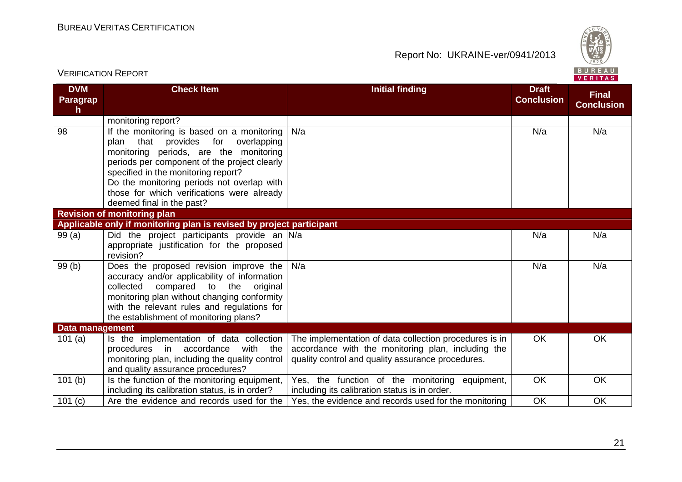

| <b>DVM</b><br>Paragrap<br>$\mathsf{h}$ | <b>Check Item</b>                                                                                                                                                                                                                                                                                                                                | <b>Initial finding</b>                                                                                                                                            | <b>Draft</b><br><b>Conclusion</b> | <b>Final</b><br><b>Conclusion</b> |
|----------------------------------------|--------------------------------------------------------------------------------------------------------------------------------------------------------------------------------------------------------------------------------------------------------------------------------------------------------------------------------------------------|-------------------------------------------------------------------------------------------------------------------------------------------------------------------|-----------------------------------|-----------------------------------|
|                                        | monitoring report?                                                                                                                                                                                                                                                                                                                               |                                                                                                                                                                   |                                   |                                   |
| 98                                     | If the monitoring is based on a monitoring<br>plan that provides<br>for<br>overlapping<br>monitoring periods, are the monitoring<br>periods per component of the project clearly<br>specified in the monitoring report?<br>Do the monitoring periods not overlap with<br>those for which verifications were already<br>deemed final in the past? | N/a                                                                                                                                                               | N/a                               | N/a                               |
|                                        | <b>Revision of monitoring plan</b>                                                                                                                                                                                                                                                                                                               |                                                                                                                                                                   |                                   |                                   |
|                                        | Applicable only if monitoring plan is revised by project participant                                                                                                                                                                                                                                                                             |                                                                                                                                                                   |                                   |                                   |
| 99(a)                                  | Did the project participants provide an N/a<br>appropriate justification for the proposed<br>revision?                                                                                                                                                                                                                                           |                                                                                                                                                                   | N/a                               | N/a                               |
| 99(b)                                  | Does the proposed revision improve the<br>accuracy and/or applicability of information<br>compared to the original<br>collected<br>monitoring plan without changing conformity<br>with the relevant rules and regulations for<br>the establishment of monitoring plans?                                                                          | N/a                                                                                                                                                               | N/a                               | N/a                               |
| <b>Data management</b>                 |                                                                                                                                                                                                                                                                                                                                                  |                                                                                                                                                                   |                                   |                                   |
| 101(a)                                 | Is the implementation of data collection<br>accordance<br>with the<br>procedures in<br>monitoring plan, including the quality control<br>and quality assurance procedures?                                                                                                                                                                       | The implementation of data collection procedures is in<br>accordance with the monitoring plan, including the<br>quality control and quality assurance procedures. | <b>OK</b>                         | OK                                |
| 101(b)                                 | Is the function of the monitoring equipment,<br>including its calibration status, is in order?                                                                                                                                                                                                                                                   | Yes, the function of the monitoring equipment,<br>including its calibration status is in order.                                                                   | <b>OK</b>                         | OK                                |
| 101(c)                                 | Are the evidence and records used for the                                                                                                                                                                                                                                                                                                        | Yes, the evidence and records used for the monitoring                                                                                                             | OK                                | OK                                |

VERIFICATION REPORT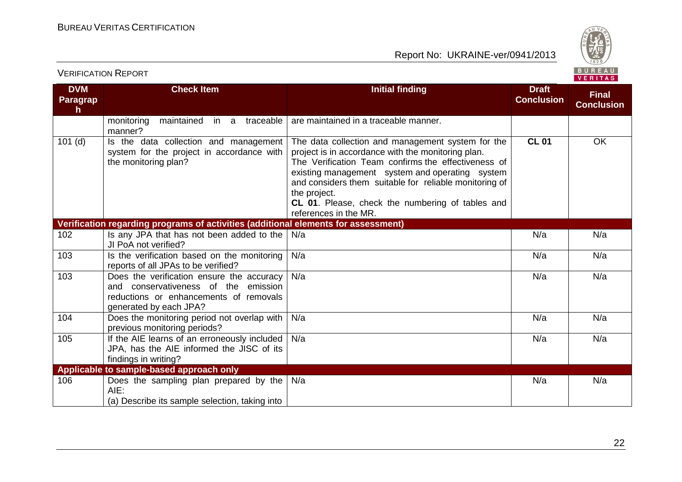

**DVM Paragrap h Check Item Initial finding Initial finding Draft Conclusion Final Conclusion** monitoring maintained in a traceable manner? are maintained in a traceable manner. 101 (d) Is the data collection and management system for the project in accordance with the monitoring plan? The data collection and management system for the project is in accordance with the monitoring plan. The Verification Team confirms the effectiveness of existing management system and operating system and considers them suitable for reliable monitoring of the project. **CL 01**. Please, check the numbering of tables and references in the MR. **CL 01** OK **Verification regarding programs of activities (additional elements for assessment)** 102 **Is any JPA that has not been added to the** JI PoA not verified? N/a N/a N/a 103 **Is the verification based on the monitoring** reports of all JPAs to be verified? N/a N/a N/a 103 Does the verification ensure the accuracy and conservativeness of the emission reductions or enhancements of removals generated by each JPA? N/a N/a N/a 104 Does the monitoring period not overlap with previous monitoring periods? N/a N/a N/a 105 **If the AIE learns of an erroneously included** JPA, has the AIE informed the JISC of its findings in writing? N/a N/a N/a **Applicable to sample-based approach only** 106 Does the sampling plan prepared by the N/a AIE: (a) Describe its sample selection, taking into N/a N/a N/a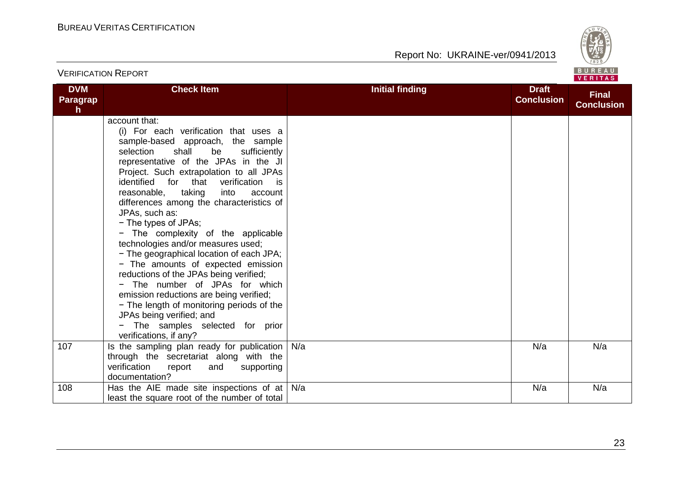

| <b>VERIFICATION REPORT</b>             |                                                                                                                                                                                                                                                                                                                                                                                                                                                                                                                                                                                                                                                                                                                                                                                                                                           |                        |                                   | BUREAU<br><b>VERITAS</b>          |
|----------------------------------------|-------------------------------------------------------------------------------------------------------------------------------------------------------------------------------------------------------------------------------------------------------------------------------------------------------------------------------------------------------------------------------------------------------------------------------------------------------------------------------------------------------------------------------------------------------------------------------------------------------------------------------------------------------------------------------------------------------------------------------------------------------------------------------------------------------------------------------------------|------------------------|-----------------------------------|-----------------------------------|
| <b>DVM</b><br>Paragrap<br>$\mathsf{h}$ | <b>Check Item</b>                                                                                                                                                                                                                                                                                                                                                                                                                                                                                                                                                                                                                                                                                                                                                                                                                         | <b>Initial finding</b> | <b>Draft</b><br><b>Conclusion</b> | <b>Final</b><br><b>Conclusion</b> |
|                                        | account that:<br>(i) For each verification that uses a<br>sample-based approach, the sample<br>selection<br>shall<br>be<br>sufficiently<br>representative of the JPAs in the JI<br>Project. Such extrapolation to all JPAs<br>for that<br>verification<br>identified<br>is.<br>reasonable,<br>taking<br>into<br>account<br>differences among the characteristics of<br>JPAs, such as:<br>- The types of JPAs;<br>- The complexity of the applicable<br>technologies and/or measures used;<br>- The geographical location of each JPA;<br>- The amounts of expected emission<br>reductions of the JPAs being verified;<br>- The number of JPAs for which<br>emission reductions are being verified;<br>- The length of monitoring periods of the<br>JPAs being verified; and<br>- The samples selected for prior<br>verifications, if any? |                        |                                   |                                   |
| 107                                    | Is the sampling plan ready for publication<br>through the secretariat along with the<br>verification<br>report<br>and<br>supporting<br>documentation?                                                                                                                                                                                                                                                                                                                                                                                                                                                                                                                                                                                                                                                                                     | N/a                    | N/a                               | N/a                               |
| 108                                    | Has the AIE made site inspections of at<br>least the square root of the number of total                                                                                                                                                                                                                                                                                                                                                                                                                                                                                                                                                                                                                                                                                                                                                   | N/a                    | N/a                               | N/a                               |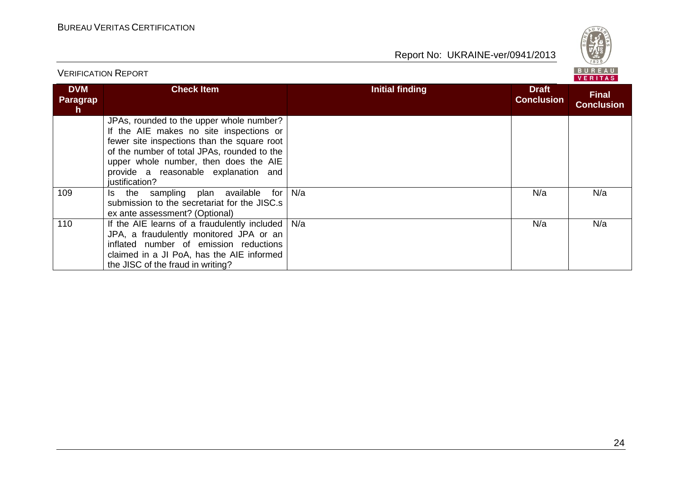

| <b>VERIFICATION REPORT</b>          |                                                                                                                                                                                                                                                                                      |                        |                                   | BURFAU<br>VERITAS                 |  |
|-------------------------------------|--------------------------------------------------------------------------------------------------------------------------------------------------------------------------------------------------------------------------------------------------------------------------------------|------------------------|-----------------------------------|-----------------------------------|--|
| <b>DVM</b><br><b>Paragrap</b><br>h. | <b>Check Item</b>                                                                                                                                                                                                                                                                    | <b>Initial finding</b> | <b>Draft</b><br><b>Conclusion</b> | <b>Final</b><br><b>Conclusion</b> |  |
|                                     | JPAs, rounded to the upper whole number?<br>If the AIE makes no site inspections or<br>fewer site inspections than the square root<br>of the number of total JPAs, rounded to the<br>upper whole number, then does the AIE<br>provide a reasonable explanation and<br>justification? |                        |                                   |                                   |  |
| 109                                 | the sampling plan available<br>for<br>Is.<br>submission to the secretariat for the JISC.s<br>ex ante assessment? (Optional)                                                                                                                                                          | N/a                    | N/a                               | N/a                               |  |
| 110                                 | If the AIE learns of a fraudulently included<br>JPA, a fraudulently monitored JPA or an<br>inflated number of emission reductions<br>claimed in a JI PoA, has the AIE informed<br>the JISC of the fraud in writing?                                                                  | N/a                    | N/a                               | N/a                               |  |

## 24